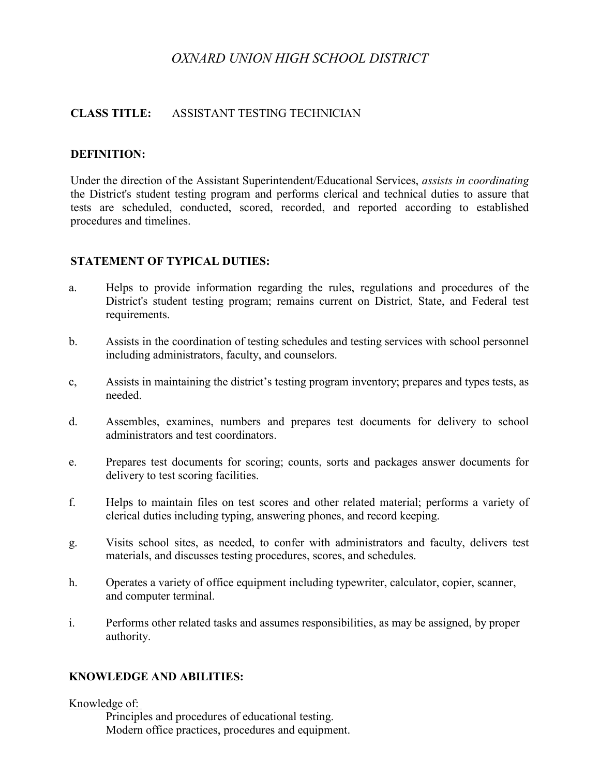# *OXNARD UNION HIGH SCHOOL DISTRICT*

# **CLASS TITLE:** ASSISTANT TESTING TECHNICIAN

# **DEFINITION:**

Under the direction of the Assistant Superintendent/Educational Services, *assists in coordinating* the District's student testing program and performs clerical and technical duties to assure that tests are scheduled, conducted, scored, recorded, and reported according to established procedures and timelines.

## **STATEMENT OF TYPICAL DUTIES:**

- a. Helps to provide information regarding the rules, regulations and procedures of the District's student testing program; remains current on District, State, and Federal test requirements.
- b. Assists in the coordination of testing schedules and testing services with school personnel including administrators, faculty, and counselors.
- c, Assists in maintaining the district's testing program inventory; prepares and types tests, as needed.
- d. Assembles, examines, numbers and prepares test documents for delivery to school administrators and test coordinators.
- e. Prepares test documents for scoring; counts, sorts and packages answer documents for delivery to test scoring facilities.
- f. Helps to maintain files on test scores and other related material; performs a variety of clerical duties including typing, answering phones, and record keeping.
- g. Visits school sites, as needed, to confer with administrators and faculty, delivers test materials, and discusses testing procedures, scores, and schedules.
- h. Operates a variety of office equipment including typewriter, calculator, copier, scanner, and computer terminal.
- i. Performs other related tasks and assumes responsibilities, as may be assigned, by proper authority.

## **KNOWLEDGE AND ABILITIES:**

#### Knowledge of:

Principles and procedures of educational testing. Modern office practices, procedures and equipment.